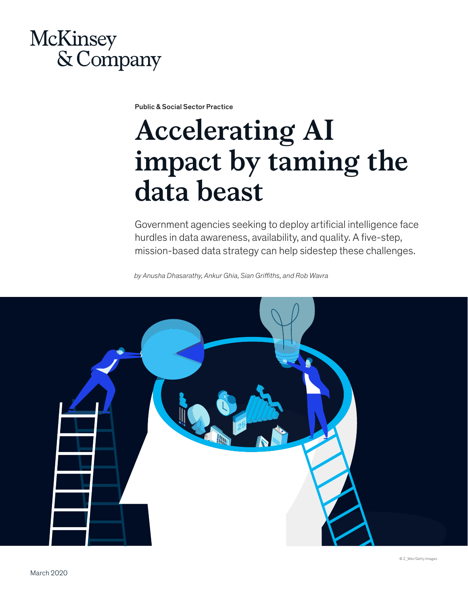# **McKinsey** & Company

Public & Social Sector Practice

# **Accelerating AI impact by taming the data beast**

Government agencies seeking to deploy artificial intelligence face hurdles in data awareness, availability, and quality. A five-step, mission-based data strategy can help sidestep these challenges.

*by Anusha Dhasarathy, Ankur Ghia, Sian Griffiths, and Rob Wavra* 



© Z\_Wei/Getty Images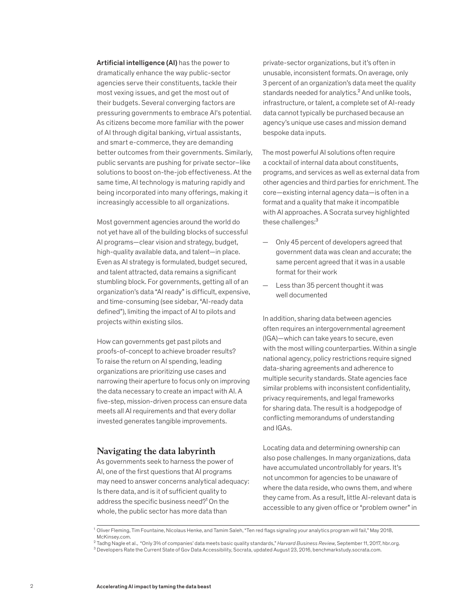Artificial intelligence (AI) has the power to dramatically enhance the way public-sector agencies serve their constituents, tackle their most vexing issues, and get the most out of their budgets. Several converging factors are pressuring governments to embrace AI's potential. As citizens become more familiar with the power of AI through digital banking, virtual assistants, and smart e-commerce, they are demanding better outcomes from their governments. Similarly, public servants are pushing for private sector–like solutions to boost on-the-job effectiveness. At the same time, AI technology is maturing rapidly and being incorporated into many offerings, making it increasingly accessible to all organizations.

Most government agencies around the world do not yet have all of the building blocks of successful AI programs—clear vision and strategy, budget, high-quality available data, and talent—in place. Even as AI strategy is formulated, budget secured, and talent attracted, data remains a significant stumbling block. For governments, getting all of an organization's data "AI ready" is difficult, expensive, and time-consuming (see sidebar, "AI-ready data defined"), limiting the impact of AI to pilots and projects within existing silos.

How can governments get past pilots and proofs-of-concept to achieve broader results? To raise the return on AI spending, leading organizations are prioritizing use cases and narrowing their aperture to focus only on improving the data necessary to create an impact with AI. A five-step, mission-driven process can ensure data meets all AI requirements and that every dollar invested generates tangible improvements.

# **Navigating the data labyrinth**

As governments seek to harness the power of AI, one of the first questions that AI programs may need to answer concerns analytical adequacy: Is there data, and is it of sufficient quality to address the specific business need?<sup>1</sup> On the whole, the public sector has more data than

private-sector organizations, but it's often in unusable, inconsistent formats. On average, only 3 percent of an organization's data meet the quality standards needed for analytics.<sup>2</sup> And unlike tools, infrastructure, or talent, a complete set of AI-ready data cannot typically be purchased because an agency's unique use cases and mission demand bespoke data inputs.

The most powerful AI solutions often require a cocktail of internal data about constituents, programs, and services as well as external data from other agencies and third parties for enrichment. The core—existing internal agency data—is often in a format and a quality that make it incompatible with AI approaches. A Socrata survey highlighted these challenges:<sup>3</sup>

- Only 45 percent of developers agreed that government data was clean and accurate; the same percent agreed that it was in a usable format for their work
- Less than 35 percent thought it was well documented

In addition, sharing data between agencies often requires an intergovernmental agreement (IGA)—which can take years to secure, even with the most willing counterparties. Within a single national agency, policy restrictions require signed data-sharing agreements and adherence to multiple security standards. State agencies face similar problems with inconsistent confidentiality, privacy requirements, and legal frameworks for sharing data. The result is a hodgepodge of conflicting memorandums of understanding and IGAs.

Locating data and determining ownership can also pose challenges. In many organizations, data have accumulated uncontrollably for years. It's not uncommon for agencies to be unaware of where the data reside, who owns them, and where they came from. As a result, little AI-relevant data is accessible to any given office or "problem owner" in

<sup>1</sup> Oliver Fleming, Tim Fountaine, Nicolaus Henke, and Tamim Saleh, "Ten red flags signaling your analytics program will fail," May 2018, McKinsey.com.

<sup>2</sup> Tadhg Nagle et al., "Only 3% of companies' data meets basic quality standards," *Harvard Business Review,* September 11, 2017, hbr.org.

 $3$  Developers Rate the Current State of Gov Data Accessibility, Socrata, updated August 23, 2016, benchmarkstudy.socrata.com.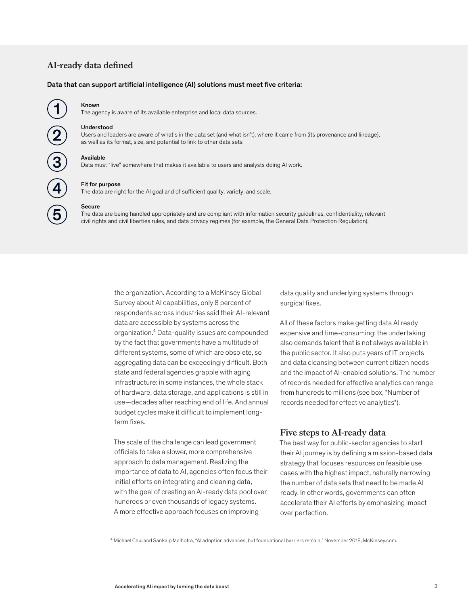# $AI$ -ready data defined

#### Data that can support artificial intelligence (AI) solutions must meet five criteria:



#### Known

The agency is aware of its available enterprise and local data sources.

#### Understood

Users and leaders are aware of what's in the data set (and what isn't), where it came from (its provenance and lineage), as well as its format, size, and potential to link to other data sets.

### Available

Data must "live" somewhere that makes it available to users and analysts doing AI work.



Secure

The data are being handled appropriately and are compliant with information security guidelines, confidentiality, relevant civil rights and civil liberties rules, and data privacy regimes (for example, the General Data Protection Regulation).

> the organization. According to a McKinsey Global Survey about AI capabilities, only 8 percent of respondents across industries said their AI-relevant data are accessible by systems across the organization.⁴ Data-quality issues are compounded by the fact that governments have a multitude of different systems, some of which are obsolete, so aggregating data can be exceedingly difficult. Both state and federal agencies grapple with aging infrastructure: in some instances, the whole stack of hardware, data storage, and applications is still in use—decades after reaching end of life. And annual budget cycles make it difficult to implement longterm fixes.

The scale of the challenge can lead government officials to take a slower, more comprehensive approach to data management. Realizing the importance of data to AI, agencies often focus their initial efforts on integrating and cleaning data, with the goal of creating an AI-ready data pool over hundreds or even thousands of legacy systems. A more effective approach focuses on improving

data quality and underlying systems through surgical fixes.

All of these factors make getting data AI ready expensive and time-consuming; the undertaking also demands talent that is not always available in the public sector. It also puts years of IT projects and data cleansing between current citizen needs and the impact of AI-enabled solutions. The number of records needed for effective analytics can range from hundreds to millions (see box, "Number of records needed for effective analytics").

# **Five steps to AI-ready data**

The best way for public-sector agencies to start their AI journey is by defining a mission-based data strategy that focuses resources on feasible use cases with the highest impact, naturally narrowing the number of data sets that need to be made AI ready. In other words, governments can often accelerate their AI efforts by emphasizing impact over perfection.

4 Michael Chui and Sankalp Malhotra, "AI adoption advances, but foundational barriers remain," November 2018, McKinsey.com.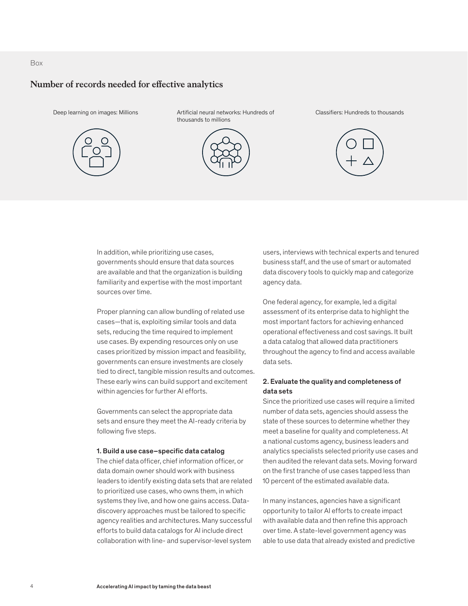### Box

# **Number of records needed for effective analytics**



Deep learning on images: Millions **Artificial neural networks: Hundreds of** thousands to millions



Classifiers: Hundreds to thousands



In addition, while prioritizing use cases, governments should ensure that data sources are available and that the organization is building familiarity and expertise with the most important sources over time.

Proper planning can allow bundling of related use cases—that is, exploiting similar tools and data sets, reducing the time required to implement use cases. By expending resources only on use cases prioritized by mission impact and feasibility, governments can ensure investments are closely tied to direct, tangible mission results and outcomes. These early wins can build support and excitement within agencies for further AI efforts.

Governments can select the appropriate data sets and ensure they meet the AI-ready criteria by following five steps.

#### 1. Build a use case–specific data catalog

The chief data officer, chief information officer, or data domain owner should work with business leaders to identify existing data sets that are related to prioritized use cases, who owns them, in which systems they live, and how one gains access. Datadiscovery approaches must be tailored to specific agency realities and architectures. Many successful efforts to build data catalogs for AI include direct collaboration with line- and supervisor-level system

users, interviews with technical experts and tenured business staff, and the use of smart or automated data discovery tools to quickly map and categorize agency data.

One federal agency, for example, led a digital assessment of its enterprise data to highlight the most important factors for achieving enhanced operational effectiveness and cost savings. It built a data catalog that allowed data practitioners throughout the agency to find and access available data sets.

# 2. Evaluate the quality and completeness of data sets

Since the prioritized use cases will require a limited number of data sets, agencies should assess the state of these sources to determine whether they meet a baseline for quality and completeness. At a national customs agency, business leaders and analytics specialists selected priority use cases and then audited the relevant data sets. Moving forward on the first tranche of use cases tapped less than 10 percent of the estimated available data.

In many instances, agencies have a significant opportunity to tailor AI efforts to create impact with available data and then refine this approach over time. A state-level government agency was able to use data that already existed and predictive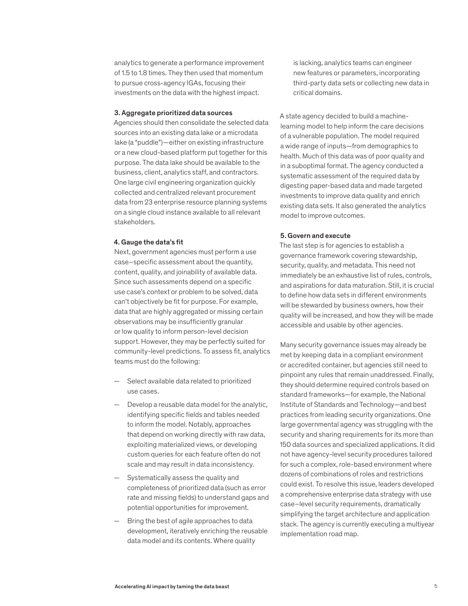analytics to generate a performance improvement of 1.5 to 1.8 times. They then used that momentum to pursue cross-agency IGAs, focusing their investments on the data with the highest impact.

#### 3. Aggregate prioritized data sources

Agencies should then consolidate the selected data sources into an existing data lake or a microdata lake (a "puddle")—either on existing infrastructure or a new cloud-based platform put together for this purpose. The data lake should be available to the business, client, analytics staff, and contractors. One large civil engineering organization quickly collected and centralized relevant procurement data from 23 enterprise resource planning systems on a single cloud instance available to all relevant stakeholders.

#### 4. Gauge the data's fit

Next, government agencies must perform a use case–specific assessment about the quantity, content, quality, and joinability of available data. Since such assessments depend on a specific use case's context or problem to be solved, data can't objectively be fit for purpose. For example, data that are highly aggregated or missing certain observations may be insufficiently granular or low quality to inform person-level decision support. However, they may be perfectly suited for community-level predictions. To assess fit, analytics teams must do the following:

- Select available data related to prioritized use cases.
- Develop a reusable data model for the analytic, identifying specific fields and tables needed to inform the model. Notably, approaches that depend on working directly with raw data, exploiting materialized views, or developing custom queries for each feature often do not scale and may result in data inconsistency.
- Systematically assess the quality and completeness of prioritized data (such as error rate and missing fields) to understand gaps and potential opportunities for improvement.
- Bring the best of agile approaches to data development, iteratively enriching the reusable data model and its contents. Where quality

is lacking, analytics teams can engineer new features or parameters, incorporating third-party data sets or collecting new data in critical domains.

A state agency decided to build a machinelearning model to help inform the care decisions of a vulnerable population. The model required a wide range of inputs—from demographics to health. Much of this data was of poor quality and in a suboptimal format. The agency conducted a systematic assessment of the required data by digesting paper-based data and made targeted investments to improve data quality and enrich existing data sets. It also generated the analytics model to improve outcomes.

### 5. Govern and execute

The last step is for agencies to establish a governance framework covering stewardship, security, quality, and metadata. This need not immediately be an exhaustive list of rules, controls, and aspirations for data maturation. Still, it is crucial to define how data sets in different environments will be stewarded by business owners, how their quality will be increased, and how they will be made accessible and usable by other agencies.

Many security governance issues may already be met by keeping data in a compliant environment or accredited container, but agencies still need to pinpoint any rules that remain unaddressed. Finally, they should determine required controls based on standard frameworks—for example, the National Institute of Standards and Technology—and best practices from leading security organizations. One large governmental agency was struggling with the security and sharing requirements for its more than 150 data sources and specialized applications. It did not have agency-level security procedures tailored for such a complex, role-based environment where dozens of combinations of roles and restrictions could exist. To resolve this issue, leaders developed a comprehensive enterprise data strategy with use case–level security requirements, dramatically simplifying the target architecture and application stack. The agency is currently executing a multiyear implementation road map.